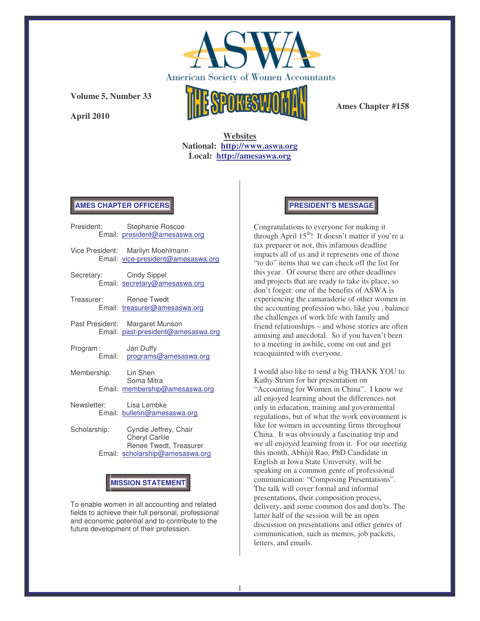

**April 2010**



**Ames Chapter #158**

**Websites National: http://www.aswa.org Local: http://amesaswa.org**

## **AMES CHAPTER OFFICERS**

|                         | President: Stephanie Roscoe<br>Email: president@amesaswa.org            |
|-------------------------|-------------------------------------------------------------------------|
|                         | Vice President: Marilyn Moehlmann<br>Email: vice-president@amesaswa.org |
| Secretary: Cindy Sippel | Email: secretary@amesaswa.org                                           |
| Treasurer: Renee Twedt  | Email: treasurer@amesaswa.org                                           |
|                         | Past President: Margaret Munson<br>Email: past-president@amesaswa.org   |
| Program:                | Jan Duffy<br>Email: programs@amesaswa.org                               |
| Membership: Lin Shen    | Soma Mitra<br>Email: membership@amesaswa.org                            |
| Newsletter: Lisa Lembke | Email: bulletin@amesaswa.org                                            |

Scholarship: Cyndie Jeffrey, Chair Cheryl Carlile Renee Twedt, Treasurer Email: scholarship@amesaswa.org

# **MISSION STATEMENT**

To enable women in all accounting and related fields to achieve their full personal, professional and economic potential and to contribute to the future development of their profession.

## **PRESIDENT'S MESSAGE**

Congratulations to everyone for making it through April 15<sup>th</sup>! It doesn't matter if you're a tax preparer or not, this infamous deadline impacts all of us and it represents one of those "to do" items that we can check off the list for this year. Of course there are other deadlines and projects that are ready to take its place, so don't forget: one of the benefits of ASWA is experiencing the camaraderie of other women in the accounting profession who, like you , balance the challenges of work life with family and friend relationships – and whose stories are often amusing and anecdotal. So if you haven't been to a meeting in awhile, come on out and get reacquainted with everyone.

I would also like to send a big THANK YOU to Kathy Strum for her presentation on "Accounting for Women in China". I know we all enjoyed learning about the differences not only in education, training and governmental regulations, but of what the work environment is like for women in accounting firms throughout China. It was obviously a fascinating trip and we all enjoyed learning from it. For our meeting this month, Abhijit Rao, PhD Candidate in English at Iowa State University, will be speaking on a common genre of professional communication: "Composing Presentations". The talk will cover formal and informal presentations, their composition process, delivery, and some common dos and don'ts. The latter half of the session will be an open discussion on presentations and other genres of communication, such as memos, job packets, letters, and emails.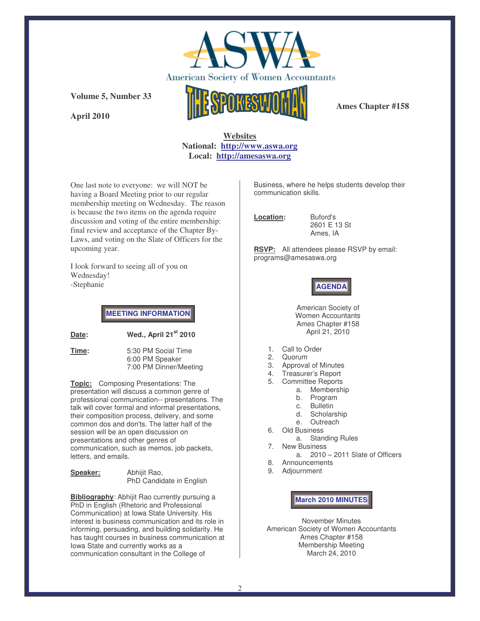

**April 2010**

**Ames Chapter #158**

## **Websites National: http://www.aswa.org Local: http://amesaswa.org**

One last note to everyone: we will NOT be having a Board Meeting prior to our regular membership meeting on Wednesday. The reason is because the two items on the agenda require discussion and voting of the entire membership: final review and acceptance of the Chapter By-Laws, and voting on the Slate of Officers for the upcoming year.

I look forward to seeing all of you on Wednesday! -Stephanie

**MEETING INFORMATION**

**Date: Wed., April 21 st 2010**

**Time:** 5:30 PM Social Time 6:00 PM Speaker 7:00 PM Dinner/Meeting

**Topic:** Composing Presentations: The presentation will discuss a common genre of professional communication-- presentations. The talk will cover formal and informal presentations, their composition process, delivery, and some common dos and don'ts. The latter half of the session will be an open discussion on presentations and other genres of communication, such as memos, job packets, letters, and emails.

**Speaker:** Abhijit Rao, PhD Candidate in English

**Bibliography**: Abhijit Rao currently pursuing a PhD in English (Rhetoric and Professional Communication) at Iowa State University. His interest is business communication and its role in informing, persuading, and building solidarity. He has taught courses in business communication at Iowa State and currently works as a communication consultant in the College of

Business, where he helps students develop their communication skills.

**Location:** Buford's

2601 E 13 St Ames, IA

**RSVP:** All attendees please RSVP by email: programs@amesaswa.org

# **AGENDA**

American Society of Women Accountants Ames Chapter #158 April 21, 2010

- 1. Call to Order
- 2. Quorum
- 3. Approval of Minutes<br>4. Treasurer's Report
- 4. Treasurer's Report
- 5. Committee Reports
	- a. Membership
	- b. Program
	- c. Bulletin
	- d. Scholarship
	- e. Outreach
- 6. Old Business
	- a. Standing Rules
- 7. New Business
	- a. 2010 2011 Slate of Officers
- 8. Announcements 9. Adjournment

**March 2010 MINUTES**

November Minutes American Society of Women Accountants Ames Chapter #158 Membership Meeting March 24, 2010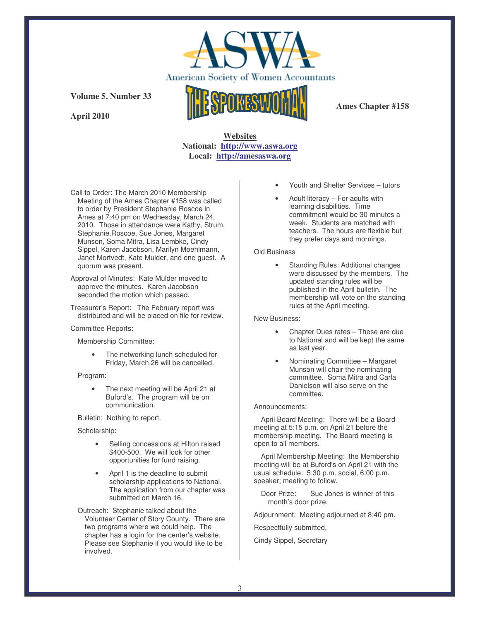

**April 2010**



**Ames Chapter #158**

## **Websites National: http://www.aswa.org Local: http://amesaswa.org**

Call to Order: The March 2010 Membership Meeting of the Ames Chapter #158 was called to order by President Stephanie Roscoe in Ames at 7:40 pm on Wednesday, March 24, 2010. Those in attendance were Kathy, Strum, Stephanie,Roscoe, Sue Jones, Margaret Munson, Soma Mitra, Lisa Lembke, Cindy Sippel, Karen Jacobson, Marilyn Moehlmann, Janet Mortvedt, Kate Mulder, and one guest. A quorum was present.

Approval of Minutes: Kate Mulder moved to approve the minutes. Karen Jacobson seconded the motion which passed.

Treasurer's Report: The February report was distributed and will be placed on file for review.

Committee Reports:

Membership Committee:

The networking lunch scheduled for Friday, March 26 will be cancelled.

Program:

• The next meeting will be April 21 at Buford's. The program will be on communication.

Bulletin: Nothing to report.

Scholarship:

- Selling concessions at Hilton raised \$400-500. We will look for other opportunities for fund raising.
- April 1 is the deadline to submit scholarship applications to National. The application from our chapter was submitted on March 16.

Outreach: Stephanie talked about the Volunteer Center of Story County. There are two programs where we could help. The chapter has a login for the center's website. Please see Stephanie if you would like to be involved.

- Youth and Shelter Services tutors
- Adult literacy  $-$  For adults with learning disabilities. Time commitment would be 30 minutes a week. Students are matched with teachers. The hours are flexible but they prefer days and mornings.

### Old Business

• Standing Rules: Additional changes were discussed by the members. The updated standing rules will be published in the April bulletin. The membership will vote on the standing rules at the April meeting.

New Business:

- Chapter Dues rates These are due to National and will be kept the same as last year.
- Nominating Committee Margaret Munson will chair the nominating committee. Soma Mitra and Carla Danielson will also serve on the committee.

### Announcements:

April Board Meeting: There will be a Board meeting at 5:15 p.m. on April 21 before the membership meeting. The Board meeting is open to all members.

April Membership Meeting: the Membership meeting will be at Buford's on April 21 with the usual schedule: 5:30 p.m. social, 6:00 p.m. speaker; meeting to follow.

Door Prize: Sue Jones is winner of this month's door prize.

Adjournment: Meeting adjourned at 8:40 pm.

Respectfully submitted,

Cindy Sippel, Secretary